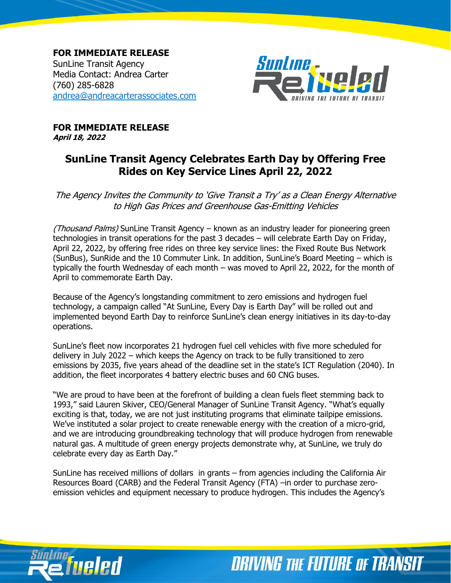**FOR IMMEDIATE RELEASE** SunLine Transit Agency Media Contact: Andrea Carter (760) 285-6828 [andrea@andreacarterassociates.com](mailto:andrea@andreacarterassociates.com)



**FOR IMMEDIATE RELEASE April 18, 2022**

## **SunLine Transit Agency Celebrates Earth Day by Offering Free Rides on Key Service Lines April 22, 2022**

The Agency Invites the Community to 'Give Transit a Try' as a Clean Energy Alternative to High Gas Prices and Greenhouse Gas-Emitting Vehicles

(Thousand Palms) SunLine Transit Agency – known as an industry leader for pioneering green technologies in transit operations for the past 3 decades – will celebrate Earth Day on Friday, April 22, 2022, by offering free rides on three key service lines: the Fixed Route Bus Network (SunBus), SunRide and the 10 Commuter Link. In addition, SunLine's Board Meeting – which is typically the fourth Wednesday of each month – was moved to April 22, 2022, for the month of April to commemorate Earth Day.

Because of the Agency's longstanding commitment to zero emissions and hydrogen fuel technology, a campaign called "At SunLine, Every Day is Earth Day" will be rolled out and implemented beyond Earth Day to reinforce SunLine's clean energy initiatives in its day-to-day operations.

SunLine's fleet now incorporates 21 hydrogen fuel cell vehicles with five more scheduled for delivery in July 2022 – which keeps the Agency on track to be fully transitioned to zero emissions by 2035, five years ahead of the deadline set in the state's ICT Regulation (2040). In addition, the fleet incorporates 4 battery electric buses and 60 CNG buses.

"We are proud to have been at the forefront of building a clean fuels fleet stemming back to 1993," said Lauren Skiver, CEO/General Manager of SunLine Transit Agency. "What's equally exciting is that, today, we are not just instituting programs that eliminate tailpipe emissions. We've instituted a solar project to create renewable energy with the creation of a micro-grid, and we are introducing groundbreaking technology that will produce hydrogen from renewable natural gas. A multitude of green energy projects demonstrate why, at SunLine, we truly do celebrate every day as Earth Day."

SunLine has received millions of dollars in grants – from agencies including the California Air Resources Board (CARB) and the Federal Transit Agency (FTA) –in order to purchase zeroemission vehicles and equipment necessary to produce hydrogen. This includes the Agency's



**DRIVING THE FUTURE OF TRANSIT**